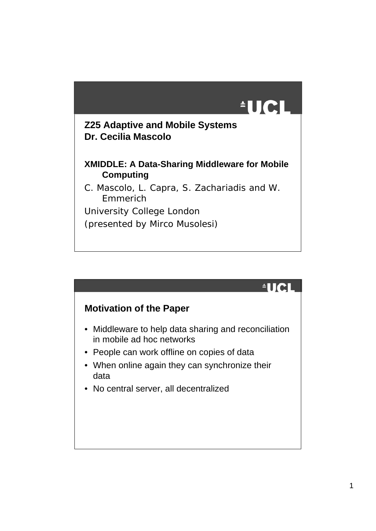

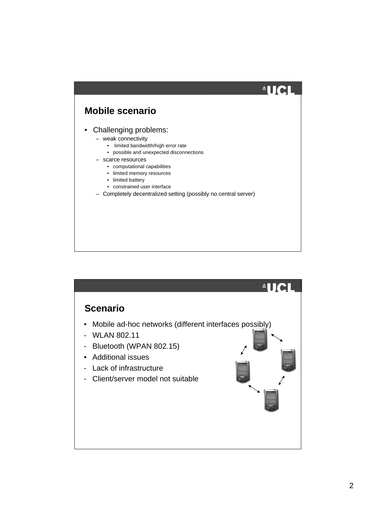### $^4$ UCI **Mobile scenario** • Challenging problems: – weak connectivity • limited bandwidth/high error rate • possible and unexpected disconnections – scarce resources • computational capabilities • limited memory resources • limited battery • constrained user interface – Completely decentralized setting (possibly no central server)

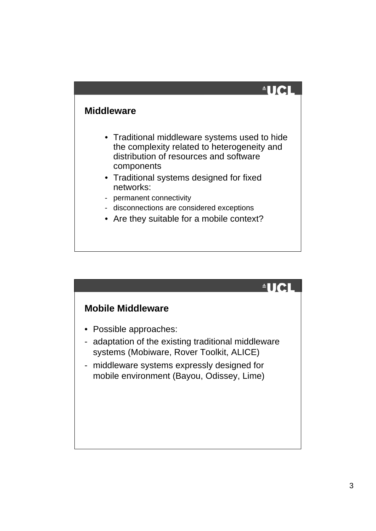#### **Middleware**

- Traditional middleware systems used to hide the complexity related to heterogeneity and distribution of resources and software components
- Traditional systems designed for fixed networks:
- permanent connectivity
- disconnections are considered exceptions
- Are they suitable for a mobile context?

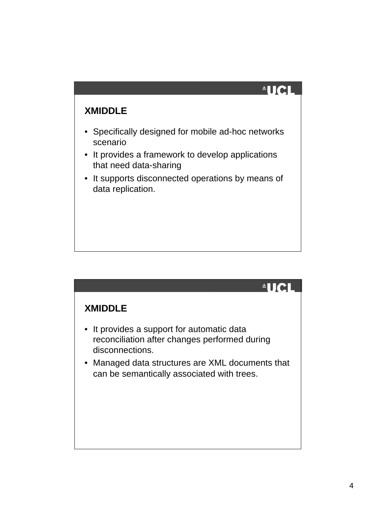#### **XMIDDLE**

- Specifically designed for mobile ad-hoc networks scenario
- It provides a framework to develop applications that need data-sharing
- It supports disconnected operations by means of data replication.

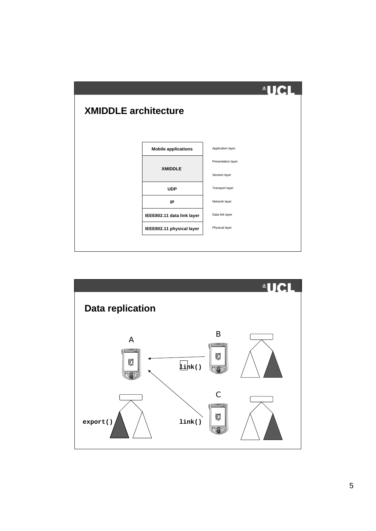

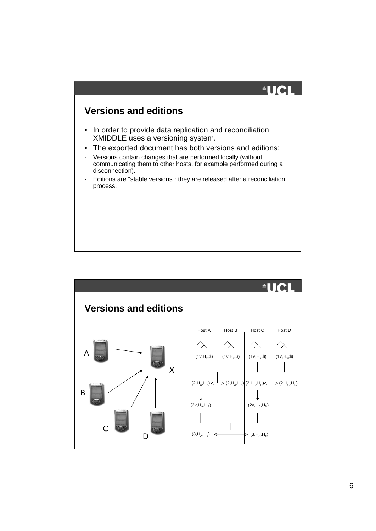

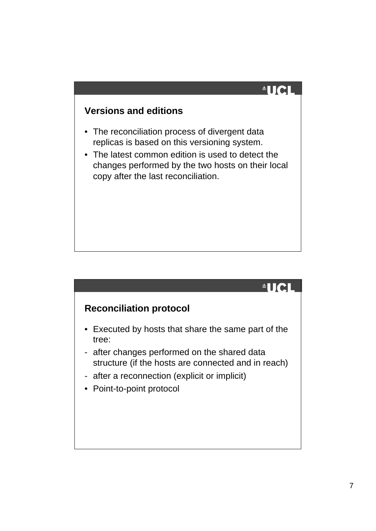#### **Versions and editions**

- The reconciliation process of divergent data replicas is based on this versioning system.
- The latest common edition is used to detect the changes performed by the two hosts on their local copy after the last reconciliation.

#### $^4$ IICI

### **Reconciliation protocol**

- Executed by hosts that share the same part of the tree:
- after changes performed on the shared data structure (if the hosts are connected and in reach)
- after a reconnection (explicit or implicit)
- Point-to-point protocol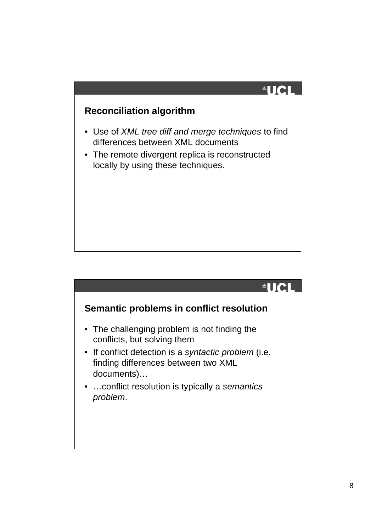#### **Reconciliation algorithm**

- Use of *XML tree diff and merge techniques* to find differences between XML documents
- The remote divergent replica is reconstructed locally by using these techniques.

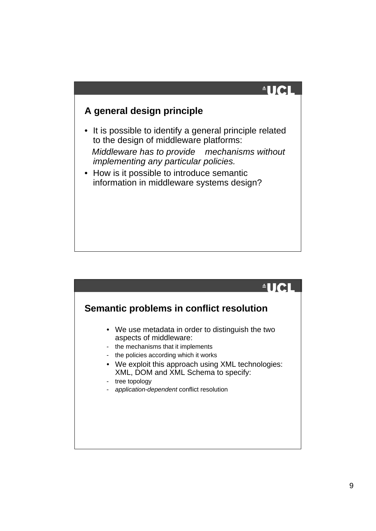## $\triangleq$ UCI

#### **A general design principle**

• It is possible to identify a general principle related to the design of middleware platforms:

 *Middleware has to provide mechanisms without implementing any particular policies.*

• How is it possible to introduce semantic information in middleware systems design?

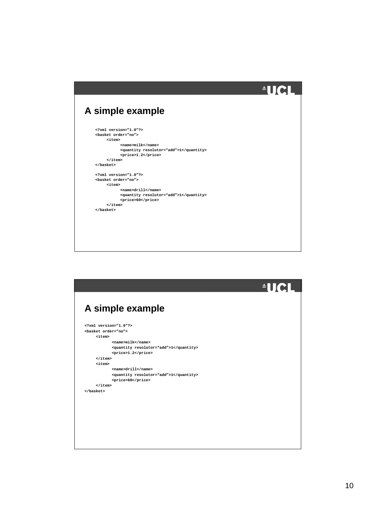|                                            | <u> AUCI</u> |
|--------------------------------------------|--------------|
|                                            |              |
| A simple example                           |              |
| $\langle ?xm1 \rangle$ version= $"1.0"$ ?> |              |
| <basket order="no"></basket>               |              |
| $<$ item $>$                               |              |
| $<$ name $>$ milk>                         |              |
| <quantity resolutor="add">1</quantity>     |              |
| <price>1.2</price>                         |              |
| $\langle$ item>                            |              |
|                                            |              |
| $\langle 2xm1 \rangle$ version= $71.072$   |              |
| <basket order="no"></basket>               |              |
| $<$ item $>$                               |              |
| <name>drill</name>                         |              |
| <quantity resolutor="add">1</quantity>     |              |
| <price>60</price>                          |              |
| $\langle$ item>                            |              |
|                                            |              |
|                                            |              |
|                                            |              |
|                                            |              |
|                                            |              |
|                                            |              |
|                                            |              |

|                                        | <b>AUCL</b><br><b>Ay</b> |
|----------------------------------------|--------------------------|
|                                        |                          |
| A simple example                       |                          |
| $\langle 2xm1 \rangle$ version="1.0"?> |                          |
| <basket order="no"></basket>           |                          |
| $<$ item $>$                           |                          |
| $<$ name $>$ milk>                     |                          |
| <quantity resolutor="add">1</quantity> |                          |
| <price>1.2</price>                     |                          |
| $\langle$ item $\rangle$               |                          |
| $<$ item $>$<br><name>drill</name>     |                          |
| <quantity resolutor="add">1</quantity> |                          |
| <price>60</price>                      |                          |
| $\langle$ item $\rangle$               |                          |
|                                        |                          |
|                                        |                          |
|                                        |                          |
|                                        |                          |
|                                        |                          |
|                                        |                          |
|                                        |                          |
|                                        |                          |
|                                        |                          |
|                                        |                          |
|                                        |                          |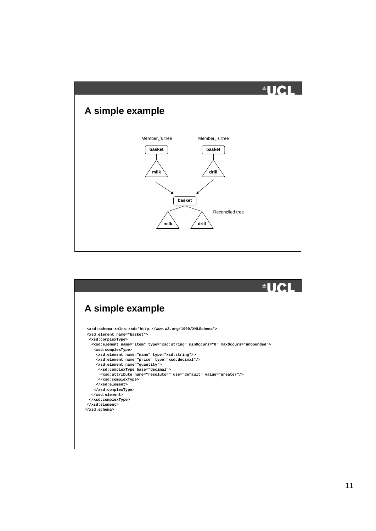

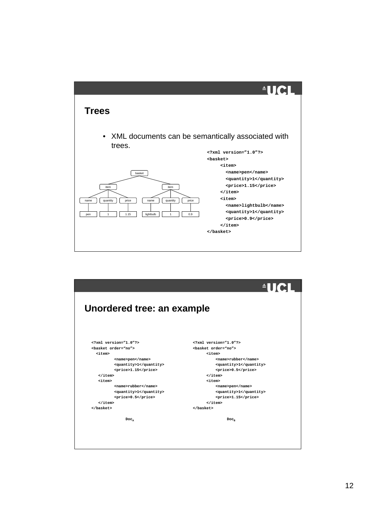

|                                                | AUCI                         |
|------------------------------------------------|------------------------------|
| Unordered tree: an example                     |                              |
| $\frac{\text{sym1}}{\text{version}}$ = "1.0"?> | xml version="1.0"?           |
| <basket order="no"></basket>                   | <basket order="no"></basket> |
| citem>                                         | $<$ item $>$                 |
| <name>pen</name>                               | <name>rubber</name>          |
| <quantity>1</quantity>                         | <quantity>1</quantity>       |
| <price>1.15</price>                            | <price>0.5</price>           |
| $\langle$ item $\rangle$                       | $\langle$ item $\rangle$     |
| $<$ item $>$                                   | <item></item>                |
| <name>rubber</name>                            | <name>pen</name>             |
| <quantity>1</quantity>                         | <quantity>1</quantity>       |
| <price>0.5</price>                             | <price>1.15</price>          |
| $\langle$ item $\rangle$                       | $\langle$ item $\rangle$     |
|                                                |                              |
| $Doc_a$                                        | $Doc_n$                      |
|                                                |                              |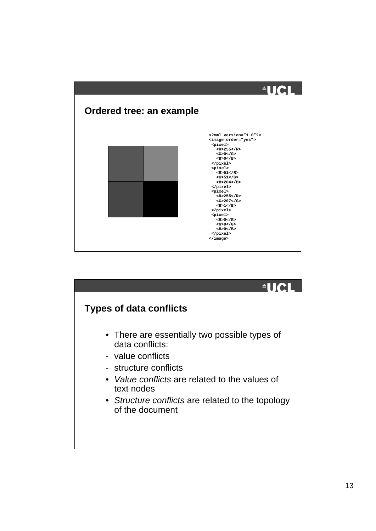

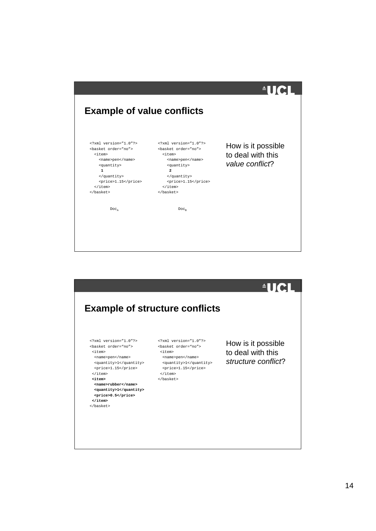| <b>Example of value conflicts</b>                                                                                                                                                                                                          |                                                                                                                                                                                                                                           | <u> AUCI</u>                                               |
|--------------------------------------------------------------------------------------------------------------------------------------------------------------------------------------------------------------------------------------------|-------------------------------------------------------------------------------------------------------------------------------------------------------------------------------------------------------------------------------------------|------------------------------------------------------------|
| xml version="1.0"?<br><basket order="no"><br/><item><br/><name>pen</name><br/><quantity><br/><math>\mathbf{1}</math><br/><br/><price>1.15</price><br/><math>\langle</math>item&gt;<br/></quantity></item></basket><br>$Doc_{\overline{A}}$ | xml version="1.0"?<br><br>shasket order="no"><br><item><br/><name>pen</name><br><quantity><br/><math>\overline{a}</math><br/><br/><price>1.15</price><br/><math>\langle</math>item&gt;<br/><br/><math>Doc_n</math></quantity></br></item> | How is it possible<br>to deal with this<br>value conflict? |
|                                                                                                                                                                                                                                            |                                                                                                                                                                                                                                           |                                                            |

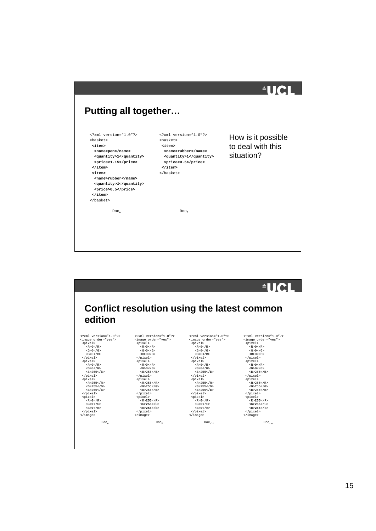| <b>Putting all together</b>                                                                                                                                                                                                                                                                                                          |                                                                                                                                                                                                    | <b>AUCL</b>                                           |
|--------------------------------------------------------------------------------------------------------------------------------------------------------------------------------------------------------------------------------------------------------------------------------------------------------------------------------------|----------------------------------------------------------------------------------------------------------------------------------------------------------------------------------------------------|-------------------------------------------------------|
| xml version="1.0"?<br><basket><br/><item><br/><name>pen</name><br/><quantity>1</quantity><br/><price>1.15</price><br/><math>\langle</math>item<math>\rangle</math><br/><item><br/><name>rubber</name><br/><quantity>1</quantity><br/><price>0.5</price><br/><math>\langle</math>item<math>\rangle</math><br/></item></item></basket> | xml version="1.0"?<br><basket><br/><math>&lt;</math>item<math>&gt;</math><br/><name>rubber</name><br/><quantity>1</quantity><br/><price>0.5</price><br/><math>\langle</math>item&gt;<br/></basket> | How is it possible<br>to deal with this<br>situation? |
| Doc <sub>a</sub>                                                                                                                                                                                                                                                                                                                     | Doc <sub>n</sub>                                                                                                                                                                                   |                                                       |

|                                  |                                             |                      | $\triangle$ UCL      |
|----------------------------------|---------------------------------------------|----------------------|----------------------|
|                                  |                                             |                      |                      |
|                                  |                                             |                      |                      |
|                                  |                                             |                      |                      |
|                                  | Conflict resolution using the latest common |                      |                      |
|                                  |                                             |                      |                      |
|                                  |                                             |                      |                      |
| edition                          |                                             |                      |                      |
|                                  |                                             |                      |                      |
|                                  |                                             |                      |                      |
| $\frac{2}{x}$ xml version="1.0"? | xml version="1.0"?                          | xml version="1.0"?   | xml version="1.0"?   |
| <image order="yes"/>             | <image order="yes"/>                        | <image order="yes"/> | <image order="yes"/> |
| <pixel></pixel>                  | <pixel></pixel>                             | <pixel></pixel>      | <pixel></pixel>      |
| $<$ R>0 < /R>                    | $<$ R>0 < /R>                               | $<$ R>0 < /R>        | $<$ R>0 < /R>        |
| $<$ G>0 < /G>                    | $<$ G>0 < /G>                               | $<$ G>0 < /G>        | $<$ G>0 < /G>        |
| $<$ B $>$ 0 $<$ /B $>$           | $<$ B>0                                     | $<$ R> $0$ < $/$ R>  | $<$ B>0              |
|                                  |                                             |                      |                      |
| <pixel></pixel>                  | <pixel></pixel>                             | <pixel></pixel>      | <pixel></pixel>      |
| $<$ R>0 < /R>                    | $<$ R>0 < /R>                               | $<$ R>0 < /R>        | $<$ R>0 < /R>        |
| < G > 0 < / G >                  | < G > 0 < /G >                              | < G > 0 < / G >      | < G > 0 < / G >      |
| $<$ R>255 $<$ /R>                | $<$ R>255 $<$ /R>                           | $<$ R>255 $<$ /R>    | $<$ R>255 $<$ /R>    |
|                                  |                                             |                      | $\langle$ /pixel>    |
| <pixel></pixel>                  | <pixel></pixel>                             | <pixel></pixel>      | <pixel></pixel>      |
| $<$ R>255                        | $<$ R > 255 $<$ /R >                        | $<$ R > 255 $<$ /R > | $<$ R>255            |
| $<$ G>255                        | $<$ G>255                                   | $<$ G>255            | $<$ G>255            |
| $<$ R>255 $<$ /R>                | $<$ R>255 $<$ /R>                           | $<$ R>255 $<$ /R>    | $<$ R>255 $<$ /R>    |
|                                  |                                             |                      |                      |
| <pixel></pixel>                  | <pixel></pixel>                             | <pixel></pixel>      | <pixel></pixel>      |
| $<$ R>0 < /R>                    | $<\mathbb{R}>255<\mathbb{R}>$               | $<$ R>0 < /R>        | $<$ R>255            |
| $<$ G>0 < /G>                    | $<$ G>255 < /G>                             | $<$ G>0 < /G>        | $<$ G>255            |
| $<$ B $>$ 0 $<$ /B $>$           | $<$ R>255 $<$ /R>                           | $<$ R>0 $<$ /R>      | $<$ R>255 $<$ /R>    |
|                                  |                                             |                      |                      |
| $\langle$ image>                 | $\langle$ image>                            | $\langle$ image>     |                      |
| Doc <sub>3</sub>                 | Doc <sub>n</sub>                            | Doc <sub>old</sub>   | Doc <sub>rec</sub>   |
|                                  |                                             |                      |                      |
|                                  |                                             |                      |                      |
|                                  |                                             |                      |                      |
|                                  |                                             |                      |                      |
|                                  |                                             |                      |                      |
|                                  |                                             |                      |                      |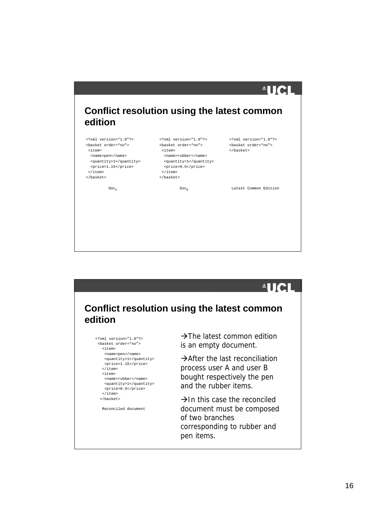| edition                                                                                                                                                       |                                                                                                                                                                |                                   |
|---------------------------------------------------------------------------------------------------------------------------------------------------------------|----------------------------------------------------------------------------------------------------------------------------------------------------------------|-----------------------------------|
| xml version="1.0"?                                                                                                                                            | xml version="1.0"?                                                                                                                                             | xml version="1.0"?                |
| <basket order="no"><br/><item><br/><name>pen</name><br/><quantity>1</quantity><br/><price>1.15</price><br/><math>\langle</math>/item&gt;<br/></item></basket> | <basket order="no"><br/><item><br/><name>rubber</name><br/><quantity>1</quantity><br/><price>0.5</price><br/><math>\langle</math>item&gt;<br/></item></basket> | <basket order="no"><br/></basket> |
| Doc <sub>a</sub>                                                                                                                                              | $Doc_n$                                                                                                                                                        | Latest Common Edition             |

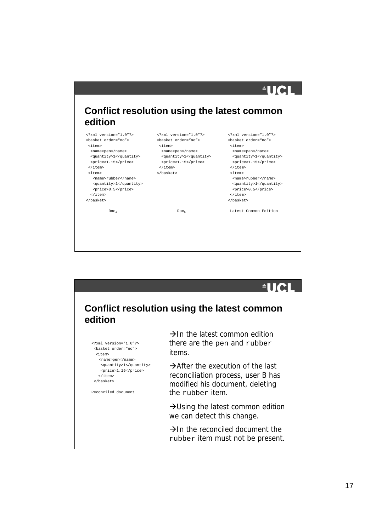| edition                                                                                                                                                                                                                                                                             | Conflict resolution using the latest common                                                                                                                                          |                                                                                                                                                                                                                                                                                                                    |
|-------------------------------------------------------------------------------------------------------------------------------------------------------------------------------------------------------------------------------------------------------------------------------------|--------------------------------------------------------------------------------------------------------------------------------------------------------------------------------------|--------------------------------------------------------------------------------------------------------------------------------------------------------------------------------------------------------------------------------------------------------------------------------------------------------------------|
| xml version="1.0"?<br><basket order="no"><br/><item><br/><name>pen</name><br/><quantity>1</quantity><br/><price>1.15</price><br/></item><br/><item><br/><name>rubber</name><br/><quantity>1</quantity><br/><price>0.5</price><br/><math>\langle</math>item&gt;<br/></item></basket> | xml version="1.0"?<br><basket order="no"><br/><item><br/><name>pen</name><br/><quantity>1</quantity><br/><price>1.15</price><br/><math>\langle</math> /item&gt;<br/></item></basket> | xml version="1.0"?<br><basket order="no"><br/><item><br/><name>pen</name><br/><quantity>1</quantity><br/><price>1.15</price><br/><math>&lt;</math>/item&gt;<br/><item><br/><name>rubber</name><br/><quantity>1</quantity><br/><price>0.5</price><br/><math>\frac{1}{2}</math> item&gt;<br/></item></item></basket> |
|                                                                                                                                                                                                                                                                                     | Doc <sub>n</sub>                                                                                                                                                                     | Latest Common Edition                                                                                                                                                                                                                                                                                              |

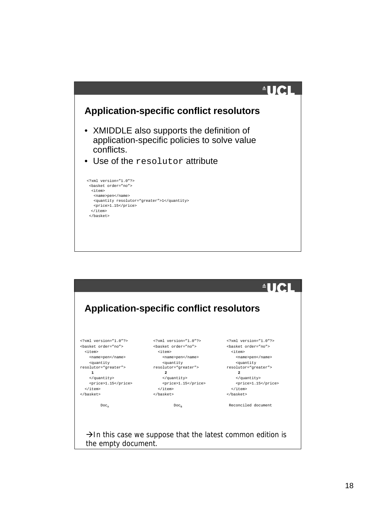

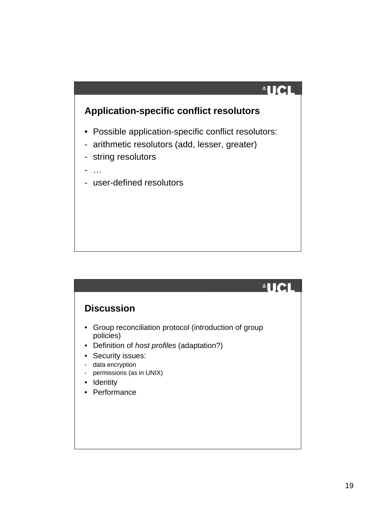

|                                                                                                                                                                                                                                       | $\blacksquare$ |
|---------------------------------------------------------------------------------------------------------------------------------------------------------------------------------------------------------------------------------------|----------------|
| <b>Discussion</b>                                                                                                                                                                                                                     |                |
| Group reconciliation protocol (introduction of group<br>policies)<br>Definition of <i>host profiles</i> (adaptation?)<br>$\bullet$<br>Security issues:<br>data encryption<br>۰<br>permissions (as in UNIX)<br>Identity<br>Performance |                |